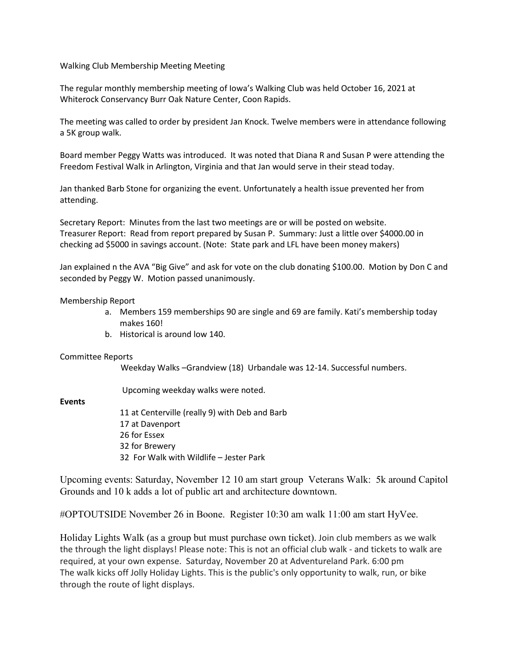Walking Club Membership Meeting Meeting

The regular monthly membership meeting of Iowa's Walking Club was held October 16, 2021 at Whiterock Conservancy Burr Oak Nature Center, Coon Rapids.

The meeting was called to order by president Jan Knock. Twelve members were in attendance following a 5K group walk.

Board member Peggy Watts was introduced. It was noted that Diana R and Susan P were attending the Freedom Festival Walk in Arlington, Virginia and that Jan would serve in their stead today.

Jan thanked Barb Stone for organizing the event. Unfortunately a health issue prevented her from attending.

Secretary Report: Minutes from the last two meetings are or will be posted on website. Treasurer Report: Read from report prepared by Susan P. Summary: Just a little over \$4000.00 in checking ad \$5000 in savings account. (Note: State park and LFL have been money makers)

Jan explained n the AVA "Big Give" and ask for vote on the club donating \$100.00. Motion by Don C and seconded by Peggy W. Motion passed unanimously.

Membership Report

- a. Members 159 memberships 90 are single and 69 are family. Kati's membership today makes 160!
- b. Historical is around low 140.

## Committee Reports

Weekday Walks –Grandview (18) Urbandale was 12-14. Successful numbers.

Upcoming weekday walks were noted.

## **Events**

11 at Centerville (really 9) with Deb and Barb 17 at Davenport 26 for Essex 32 for Brewery 32 For Walk with Wildlife – Jester Park

Upcoming events: Saturday, November 12 10 am start group Veterans Walk: 5k around Capitol Grounds and 10 k adds a lot of public art and architecture downtown.

#OPTOUTSIDE November 26 in Boone. Register 10:30 am walk 11:00 am start HyVee.

Holiday Lights Walk (as a group but must purchase own ticket). Join club members as we walk the through the light displays! Please note: This is not an official club walk - and tickets to walk are required, at your own expense. Saturday, November 20 at Adventureland Park. 6:00 pm The walk kicks off Jolly Holiday Lights. This is the public's only opportunity to walk, run, or bike through the route of light displays.